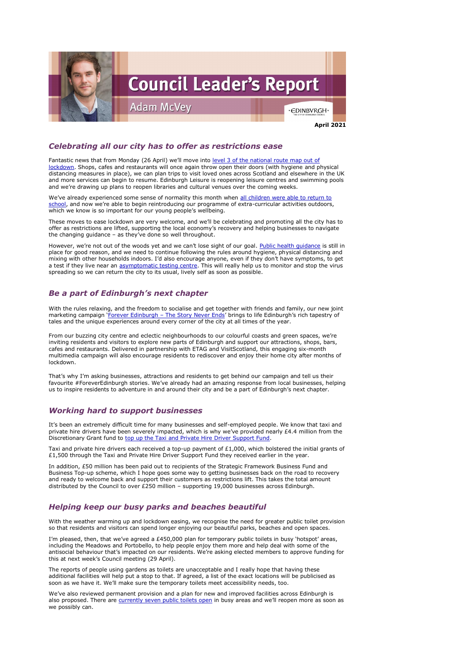

## *Celebrating all our city has to offer as restrictions ease*

Fantastic news that from Monday (26 April) we'll move into level 3 of the national route map out of [lockdown.](https://www.edinburgh.gov.uk/news/article/13170/council-leaders-let-s-work-together-to-help-the-city-recover) Shops, cafes and restaurants will once again throw open their doors (with hygiene and physical distancing measures in place), we can plan trips to visit loved ones across Scotland and elsewhere in the UK and more services can begin to resume. Edinburgh Leisure is reopening leisure centres and swimming pools and we're drawing up plans to reopen libraries and cultural venues over the coming weeks.

We've already experienced some sense of normality this month when all children were able to return to [school](https://www.edinburgh.gov.uk/news/article/13153/full-time-return-for-schools-after-easter-holidays), and now we're able to begin reintroducing our programme of extra-curricular activities outdoors, which we know is so important for our young people's wellbeing.

However, we're not out of the woods yet and we can't lose sight of our goal. Public health quidance is still in place for good reason, and we need to continue following the rules around hygiene, physical distancing and mixing with other households indoors. I'd also encourage anyone, even if they don't have symptoms, to get a test if they live near an [asymptomatic testing centre.](https://www.edinburgh.gov.uk/news/article/13172/new-community-test-centres-for-people-without-covid19-symptoms-rolled-out-in-edinburgh) This will really help us to monitor and stop the virus spreading so we can return the city to its usual, lively self as soon as possible.

These moves to ease lockdown are very welcome, and we'll be celebrating and promoting all the city has to offer as restrictions are lifted, supporting the local economy's recovery and helping businesses to navigate the changing guidance – as they've done so well throughout.

Taxi and private hire drivers each received a top-up payment of £1,000, which bolstered the initial grants of  $£1,500$  through the Taxi and Private Hire Driver Support Fund they received earlier in the year.

## *Be a part of Edinburgh's next chapter*

With the rules relaxing, and the freedom to socialise and get together with friends and family, our new joint marketing campaign 'Forever Edinburgh – [The Story Never Ends](https://edinburgh.org/storyneverends/about-story-never-ends/about-story-never-ends/)' brings to life Edinburgh's rich tapestry of tales and the unique experiences around every corner of the city at all times of the year.

I'm pleased, then, that we've agreed a £450,000 plan for temporary public toilets in busy 'hotspot' areas, including the Meadows and Portobello, to help people enjoy them more and help deal with some of the antisocial behaviour that's impacted on our residents. We're asking elected members to approve funding for this at next week's Council meeting (29 April).

From our buzzing city centre and eclectic neighbourhoods to our colourful coasts and green spaces, we're inviting residents and visitors to explore new parts of Edinburgh and support our attractions, shops, bars, cafes and restaurants. Delivered in partnership with ETAG and VisitScotland, this engaging six-month multimedia campaign will also encourage residents to rediscover and enjoy their home city after months of lockdown.

That's why I'm asking businesses, attractions and residents to get behind our campaign and tell us their favourite #ForeverEdinburgh stories. We've already had an amazing response from local businesses, helping us to inspire residents to adventure in and around their city and be a part of Edinburgh's next chapter.

## *Working hard to support businesses*

It's been an extremely difficult time for many businesses and self-employed people. We know that taxi and private hire drivers have been severely impacted, which is why we've provided nearly £4.4 million from the Discretionary Grant fund to [top up the Taxi and Private Hire Driver Support Fund.](https://www.edinburgh.gov.uk/news/article/13164/edinburgh-taxi-trade-to-receive-a-4-4m-boost-from-council-s-discretionary-fund)

In addition, £50 million has been paid out to recipients of the Strategic Framework Business Fund and Business Top-up scheme, which I hope goes some way to getting businesses back on the road to recovery and ready to welcome back and support their customers as restrictions lift. This takes the total amount distributed by the Council to over £250 million – supporting 19,000 businesses across Edinburgh.

#### *Helping keep our busy parks and beaches beautiful*

With the weather warming up and lockdown easing, we recognise the need for greater public toilet provision so that residents and visitors can spend longer enjoying our beautiful parks, beaches and open spaces.

The reports of people using gardens as toilets are unacceptable and I really hope that having these additional facilities will help put a stop to that. If agreed, a list of the exact locations will be publicised as soon as we have it. We'll make sure the temporary toilets meet accessibility needs, too.

We've also reviewed permanent provision and a plan for new and improved facilities across Edinburgh is also proposed. There are [currently seven public toilets open](https://www.edinburgh.gov.uk/leisure-sport-culture/public-toilets/1) in busy areas and we'll reopen more as soon as we possibly can.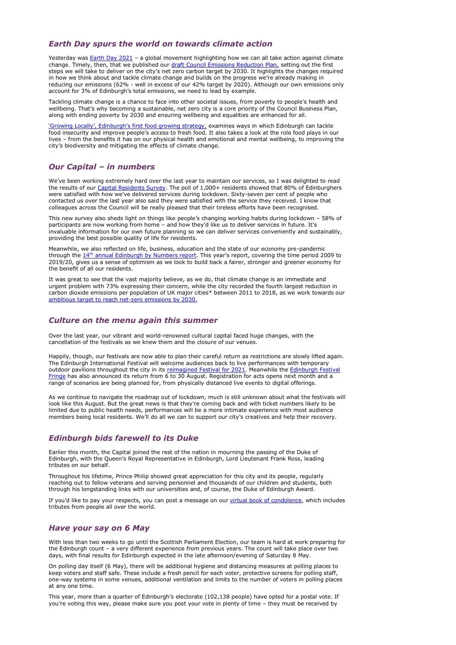### *Earth Day spurs the world on towards climate action*

Yesterday was **Earth Day 2021** – a global movement highlighting how we can all take action against climate change. Timely, then, that we published our [draft Council Emissions Reduction Plan,](https://www.edinburgh.gov.uk/news/article/13167/journey-to-net-zero-council-emissions-outlined-in-draft-plan#:~:text=The%20draft%20Council%20Emissions%20Reduction,of%20net%20zero%20by%202030.) setting out the first steps we will take to deliver on the city's net zero carbon target by 2030. It highlights the changes required in how we think about and tackle climate change and builds on the progress we're already making in reducing our emissions (62% - well in excess of our 42% target by 2020). Although our own emissions only account for 3% of Edinburgh's total emissions, we need to lead by example.

Tackling climate change is a chance to face into other societal issues, from poverty to people's health and wellbeing. That's why becoming a sustainable, net zero city is a core priority of the Council Business Plan, along with ending poverty by 2030 and ensuring wellbeing and equalities are enhanced for all.

['Growing Locally', Edinburgh's first food growing strategy](https://www.edinburgh.gov.uk/news/article/13173/interactive-map-highlights-food-growing-opportunities-across-the-city), examines ways in which Edinburgh can tackle food insecurity and improve people's access to fresh food. It also takes a look at the role food plays in our lives – from the benefits it has on our physical health and emotional and mental wellbeing, to improving the city's biodiversity and mitigating the effects of climate change.

### *Our Capital – in numbers*

We've been working extremely hard over the last year to maintain our services, so I was delighted to read the results of our [Capital Residents Survey.](https://www.edinburgh.gov.uk/news/article/13166/eight-out-of-ten-capital-residents-satisfied-with-council-services-survey-finds) The poll of 1,000+ residents showed that 80% of Edinburghers were satisfied with how we've delivered services during lockdown. Sixty-seven per cent of people who contacted us over the last year also said they were satisfied with the service they received. I know that colleagues across the Council will be really pleased that their tireless efforts have been recognised.

This new survey also sheds light on things like people's changing working habits during lockdown – 58% of participants are now working from home – and how they'd like us to deliver services in future. It's invaluable information for our own future planning so we can deliver services conveniently and sustainably, providing the best possible quality of life for residents.

If you'd like to pay your respects, you can post a message on our [virtual book of condolence,](https://www.edinburgh.gov.uk/blog/bookofcondolences/post/11476/book-of-condolences) which includes tributes from people all over the world.

Meanwhile, we also reflected on life, business, education and the state of our economy pre-pandemic through the  $14<sup>th</sup>$  [annual Edinburgh by Numbers report](https://www.edinburgh.gov.uk/downloads/download/13828/edinburgh-by-numbers). This year's report, covering the time period 2009 to 2019/20, gives us a sense of optimism as we look to build back a fairer, stronger and greener economy for the benefit of all our residents.

It was great to see that the vast majority believe, as we do, that climate change is an immediate and urgent problem with 73% expressing their concern, while the city recorded the fourth largest reduction in carbon dioxide emissions per population of UK major cities\* between 2011 to 2018, as we work towards our [ambitious target to reach net-zero emissions by 2030.](https://www.edinburgh.gov.uk/climate-2/climate-target-net-zero-2030/1)

## *Culture on the menu again this summer*

Over the last year, our vibrant and world-renowned cultural capital faced huge changes, with the cancellation of the festivals as we knew them and the closure of our venues.

Happily, though, our festivals are now able to plan their careful return as restrictions are slowly lifted again. The Edinburgh International Festival will welcome audiences back to live performances with temporary outdoor pavilions throughout the city in its [reimagined Festival for 2021.](https://www.eif.co.uk/festival-guide/news-and-blogs/2021-festival-goes-outdoors) Meanwhile the Edinburgh Festival [Fringe](https://www.edfringe.com/?gclid=EAIaIQobChMI5fT2u7KP8AIVV-3tCh0FKw83EAAYASAAEgLe_vD_BwE) has also announced its return from 6 to 30 August. Registration for acts opens next month and a range of scenarios are being planned for, from physically distanced live events to digital offerings.

As we continue to navigate the roadmap out of lockdown, much is still unknown about what the festivals will look like this August. But the great news is that they're coming back and with ticket numbers likely to be limited due to public health needs, performances will be a more intimate experience with most audience members being local residents. We'll do all we can to support our city's creatives and help their recovery.

## *Edinburgh bids farewell to its Duke*

Earlier this month, the Capital joined the rest of the nation in mourning the passing of the Duke of Edinburgh, with the Queen's Royal Representative in Edinburgh, Lord Lieutenant Frank Ross, leading tributes on our behalf.

Throughout his lifetime, Prince Philip showed great appreciation for this city and its people, regularly reaching out to fellow veterans and serving personnel and thousands of our children and students, both

through his longstanding links with our universities and, of course, the Duke of Edinburgh Award.

## *Have your say on 6 May*

With less than two weeks to go until the Scottish Parliament Election, our team is hard at work preparing for the Edinburgh count – a very different experience from previous years. The count will take place over two days, with final results for Edinburgh expected in the late afternoon/evening of Saturday 8 May.

On polling day itself (6 May), there will be additional hygiene and distancing measures at polling places to keep voters and staff safe. These include a fresh pencil for each voter, protective screens for polling staff, one-way systems in some venues, additional ventilation and limits to the number of voters in polling places at any one time.

This year, more than a quarter of Edinburgh's electorate (102,138 people) have opted for a postal vote. If you're voting this way, please make sure you post your vote in plenty of time – they must be received by